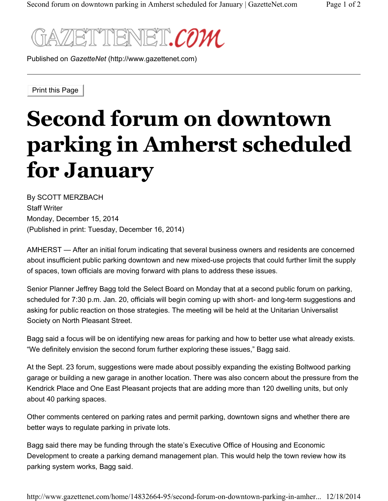

Published on *GazetteNet* (http://www.gazettenet.com)

Print this Page

## **Second forum on downtown parking in Amherst scheduled for January**

By SCOTT MERZBACH Staff Writer Monday, December 15, 2014 (Published in print: Tuesday, December 16, 2014)

AMHERST — After an initial forum indicating that several business owners and residents are concerned about insufficient public parking downtown and new mixed-use projects that could further limit the supply of spaces, town officials are moving forward with plans to address these issues.

Senior Planner Jeffrey Bagg told the Select Board on Monday that at a second public forum on parking, scheduled for 7:30 p.m. Jan. 20, officials will begin coming up with short- and long-term suggestions and asking for public reaction on those strategies. The meeting will be held at the Unitarian Universalist Society on North Pleasant Street.

Bagg said a focus will be on identifying new areas for parking and how to better use what already exists. "We definitely envision the second forum further exploring these issues," Bagg said.

At the Sept. 23 forum, suggestions were made about possibly expanding the existing Boltwood parking garage or building a new garage in another location. There was also concern about the pressure from the Kendrick Place and One East Pleasant projects that are adding more than 120 dwelling units, but only about 40 parking spaces.

Other comments centered on parking rates and permit parking, downtown signs and whether there are better ways to regulate parking in private lots.

Bagg said there may be funding through the state's Executive Office of Housing and Economic Development to create a parking demand management plan. This would help the town review how its parking system works, Bagg said.

http://www.gazettenet.com/home/14832664-95/second-forum-on-downtown-parking-in-amher... 12/18/2014